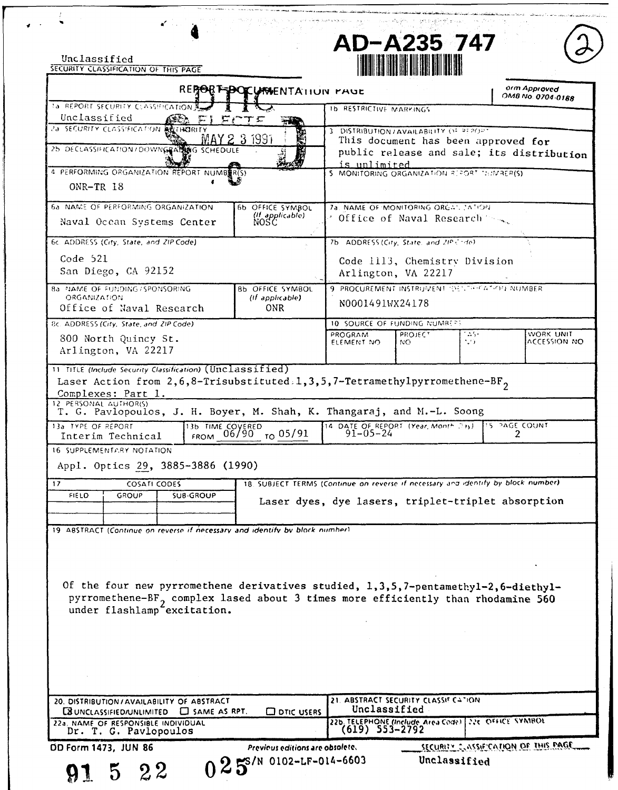Unclassified<br>SECURITY CLASSIFICATION OF THIS PAGE

 $\frac{1}{2}$ 

 $\mathcal{A}$ 

|                                                                                                                                                                                                                                                   |                                | ال المستخدم المنابع المستخدمة المستخدمة المستخدمة المستخدمة المستخدمة المستخدمة المستخدمة المستخدمة المناسبة |  |  |
|---------------------------------------------------------------------------------------------------------------------------------------------------------------------------------------------------------------------------------------------------|--------------------------------|--------------------------------------------------------------------------------------------------------------|--|--|
| a strikt it in handels og en et <del>ble det delen de</del> n kende andere kende i til <b>et begivelse a</b> ndere sterre stege av<br>Sammels i forskelle en delen i den en sammelsen i stadium for til et en en en sammelsen i den sammelsen i s | AD-A235 747<br>M HART I HARTIN |                                                                                                              |  |  |
|                                                                                                                                                                                                                                                   |                                |                                                                                                              |  |  |

| REPORT POCUMENTATION PAUL                                                                                                                                                                                                                                                    | orm Approved<br>OM8 No. 0704-0188                                                             |  |  |  |
|------------------------------------------------------------------------------------------------------------------------------------------------------------------------------------------------------------------------------------------------------------------------------|-----------------------------------------------------------------------------------------------|--|--|--|
| <b>1a REPORT SECURITY CLASSIFICATION A.</b>                                                                                                                                                                                                                                  | <b>1b RESTRICTIVE MARKINGS</b>                                                                |  |  |  |
| Unclassified<br>アピアジ<br>÷¥<br>28 SECURITY CLASSIFICATION RELINGEREY                                                                                                                                                                                                          | 3 DISTRIBUTION / AVAILABILITY OF REPORT                                                       |  |  |  |
| <u>MAY 2-3 1991</u><br>25 DECLASSIFICATION/DOWNGPACTOR SCHEDULE                                                                                                                                                                                                              | This document has been approved for                                                           |  |  |  |
|                                                                                                                                                                                                                                                                              | public release and sale; its distribution<br><u>is unlimited.</u>                             |  |  |  |
| 4 PERFORMING ORGANIZATION REPORT NUMBER(S)                                                                                                                                                                                                                                   | 5 MONITORING ORGANIZATION REPORT THIMREP(S)                                                   |  |  |  |
| ONR-TR 18                                                                                                                                                                                                                                                                    |                                                                                               |  |  |  |
| 6a NAME OF PERFORMING ORGANIZATION<br>6b OFFICE SYMBOL                                                                                                                                                                                                                       | 7a. NAME OF MONITORING ORGANIZATION.                                                          |  |  |  |
| (If applicable)<br>NOSC<br>Naval Ocean Systems Center                                                                                                                                                                                                                        | d Office of Naval Research Server                                                             |  |  |  |
| 6c. ADDRESS (City, State, and ZIP Code).                                                                                                                                                                                                                                     | 7b ADDRESS (City, State, and ZIP Code).                                                       |  |  |  |
| Code 521<br>San Diego, CA 92152                                                                                                                                                                                                                                              | Code 1113, Chemistry Division<br>Arlington, VA 22217                                          |  |  |  |
| <b>Ba. NAME OF FUNDING / SPONSORING</b><br>8b OFFICE SYMBOL                                                                                                                                                                                                                  | 9 PROCUREMENT INSTRUMENT OF LIFTATION NUMBER                                                  |  |  |  |
| <b>ORGANIZATION</b><br>(If applicable)<br>Office of Naval Research<br><b>ONR</b>                                                                                                                                                                                             | N0001491WX24178                                                                               |  |  |  |
| 8c. ADDRESS (City, State, and ZIP Code)                                                                                                                                                                                                                                      | 10 SOURCE OF FUNDING NUMBERS                                                                  |  |  |  |
| 800 North Quincy St.<br>Arlington, VA 22217                                                                                                                                                                                                                                  | - 25 -<br>WORK UNIT<br>PROGRAM<br><b>PROJECT</b><br>ACCESSION NO<br>1,19<br>NO.<br>ELEMENT NO |  |  |  |
| 11 TITLE (Include Security Classification) (Unclassified)<br>Laser Action from 2,6,8-Trisubstituted.1,3,5,7-Tetramethylpyrromethene-BF <sub>2</sub><br>Complexes: Part 1.<br>12 PERSONAL AUTHORIS)<br>T. G. Pavlopoulos, J. H. Boyer, M. Shah, K. Thangaraj, and M.-L. Soong |                                                                                               |  |  |  |
| 13a TYPE OF REPORT<br>13b TIME COVERED                                                                                                                                                                                                                                       | 14 DATE OF REPORT (Year, Month Day)  15 PAGE COUNT                                            |  |  |  |
| FROM 06/90 TO 05/91<br>Interim Technical                                                                                                                                                                                                                                     | $91 - 05 - 24$<br>2                                                                           |  |  |  |
| 16 SUPPLEMENTARY NOTATION<br>Appl. Optics 29, 3885-3886 (1990)                                                                                                                                                                                                               |                                                                                               |  |  |  |
| 17<br><b>COSATI CODES</b>                                                                                                                                                                                                                                                    | 18. SUBJECT TERMS (Continue on reverse if necessary and identify by block number).            |  |  |  |
| <b>FIELD</b><br><b>SUB-GROUP</b><br>GROUP                                                                                                                                                                                                                                    | Laser dyes, dye lasers, triplet-triplet absorption                                            |  |  |  |
|                                                                                                                                                                                                                                                                              |                                                                                               |  |  |  |
| 19. A8STRACT (Continue on reverse if necessary and identity by block number)                                                                                                                                                                                                 |                                                                                               |  |  |  |
|                                                                                                                                                                                                                                                                              |                                                                                               |  |  |  |
| Of the four new pyrromethene derivatives studied, 1,3,5,7-pentamethyl-2,6-diethyl-<br>pyrromethene-BF <sub>2</sub> complex lased about 3 times more efficiently than rhodamine 560<br>under flashlamp <sup>-</sup> excitation.                                               |                                                                                               |  |  |  |
|                                                                                                                                                                                                                                                                              |                                                                                               |  |  |  |
|                                                                                                                                                                                                                                                                              |                                                                                               |  |  |  |
| 20. DISTRIBUTION/AVAILABILITY OF ABSTRACT<br><b>EX UNCLASSIFIED/UNLIMITED EX SAME AS RPT.</b><br>$\square$ DTIC USERS                                                                                                                                                        | 21. ABSTRACT SECURITY CLASSIF CATION<br>Unclassified                                          |  |  |  |
| 22a. NAME OF RESPONSIBLE INDIVIDUAL<br>Dr. T. G. Pavlopoulos                                                                                                                                                                                                                 | 226. TELEPHONE (Include Area Code) 226. OFFICE SYMBOL                                         |  |  |  |
| <b>OD Form 1473, JUN 86</b><br>Previous editions are obsolete.                                                                                                                                                                                                               | SECURITY CLASSIFICATION OF THIS PAGE.                                                         |  |  |  |
| $025$ <sup>S/N 0102-LF-014-6603</sup><br>22                                                                                                                                                                                                                                  | Unclassified                                                                                  |  |  |  |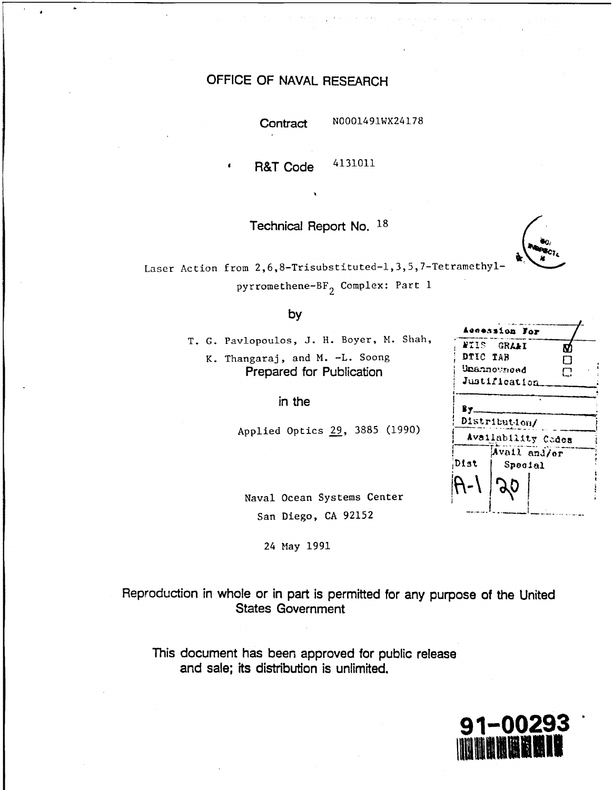## OFFICE OF NAVAL RESEARCH

Contract

N0001491WX24178

4131011 **R&T Code** 

Technical Report No. 18

Laser Action from 2,6,8-Trisubstituted-1,3,5,7-Tetramethylpyrromethene-BF<sub>2</sub> Complex: Part 1

## by

T. G. Pavlopoulos, J. H. Boyer, M. Shah, K. Thangaraj, and M. -L. Soong Prepared for Publication

in the

Applied Optics 29, 3885 (1990)

|               | Accession For                       |     |  |  |  |  |
|---------------|-------------------------------------|-----|--|--|--|--|
|               | <b>NIIS GRAAI</b>                   | N   |  |  |  |  |
| DTIC TAB      |                                     | n j |  |  |  |  |
|               | Unannowneed                         | U   |  |  |  |  |
| Justification |                                     |     |  |  |  |  |
| By.           | Distribution/<br>Availability Codes |     |  |  |  |  |
| Dist          | Avail and/or<br>Special             |     |  |  |  |  |
|               |                                     |     |  |  |  |  |
|               |                                     |     |  |  |  |  |

Naval Ocean Systems Center San Diego, CA 92152

24 May 1991

Reproduction in whole or in part is permitted for any purpose of the United **States Government** 

This document has been approved for public release and sale; its distribution is unlimited,

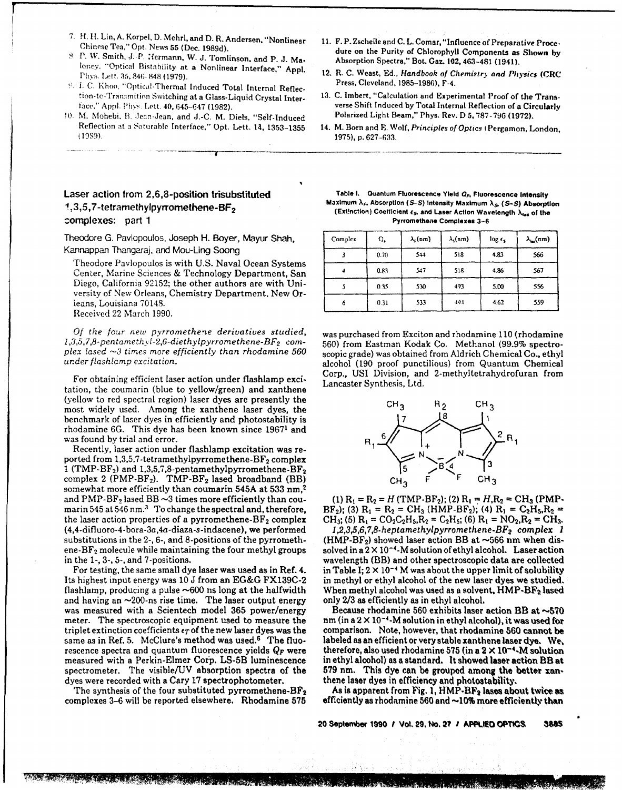- 
- 
- 
- 10 M. Mohebi, B. Jean-Jean, and **J.-C. M. Diels, "Self-Induced** Reflection at a Saturable Interface," Opt. Lett. **14, 1353-1355** 14. M. Born and **F.** *Wolf,* Principles *of* Optics (Pergamon, London,
- 11. F. P. Zscheile and C. L. Comar, "Influence of Preparative Proce-<br>
Chinese Tea," Opt. News 55 (Dec. 1989d).<br>
8. P. W. Smith, J. P. Hermann, W. J. Tomlinson, and P. J. Ma-<br>
loney. "Optical Bistability at a Nonlinear Inte
	-
	- face," Aprfl. F'hvs Lett. **40,** 645-647 **(1982).** verse Shift Induced **by** Total Internal Reflection **of a Circularly**
		- **19S9). 1975), p. 627-633.**

## complexes: part **1 Pyrromethene Complexes 3-6**

Theodore G. Pavlopoulos, Joseph H. Boyer, Mayur Shah. Kannappan Thangaraj, and Mou-Ling Soong

Theodore Pavlopoulos is with **U.S.** Naval Ocean Systems Center, Marine Sciences **&** Technology Department, San *4* **0.83** 547 **51g** 4.86 **<sup>567</sup>** Diego, California **92152;** the other authors are with Uni- **3 0.35 1 30** 493 **5.00 <sup>556</sup>** versity of New Orleans, Chemistry Department. New Or- **I** leans, Louisiana 70148. Received 22 March **1990.**

*Of the four new pyrromethene derivatives studied,* was purchased from Exciton and rhodamine 110 (rhodamine 1,3,5,7,8-pentamethyl-2,6-diethylpyrromethene-BF<sub>2</sub> com-<br>560) from Eastman Kodak Co. Methanol (99.9% spectro-

tation, the coumarin (blue to yellow/green) and xanthene (yellow to red spectral region) laser dyes are presently the  $CH_3$   $R_2$   $CH_3$ most widely used. Among the xanthene laser dyes, the benchmark of laser dyes in efficiently and photostability **is7** rhodamine **6G.** This dye has been known since **19671** and *2* was found by trial and error.

Recently, laser action under flashlamp excitation was re-<br>ported from 1,3,5,7-tetramethylpyrromethene-BF<sub>2</sub> complex 1 (TMP-BF<sub>2</sub>) and 1,3,5,7,8-pentamethylpyrromethene-BF<sub>2</sub> complex 2 (PMP-BF<sub>2</sub>). TMP-BF<sub>2</sub> lased broadband (BB)  $CH_3$  **F** <sup>F</sup> CH<sub>3</sub> somewhat more efficiently than coumnarin **545A** at **533** nm,<sup>2</sup> and PMP-BF<sub>2</sub> lased BB  $\sim$ 3 times more efficiently than cou-<br>marin 545 at 546 nm.<sup>3</sup> To change the spectral and, therefore, BF<sub>2</sub>); (3)  $R_1 = R_2 = CH_3$  (HMP-BF<sub>2</sub>); (4)  $R_1 = C_2H_3, R_2 =$ marin 545 at 546 nm.<sup>3</sup> To change the spectral and, therefore,  $BF_2$ ; (3)  $R_1 = R_2 = CH_3$  (HMP-BF<sub>2</sub>); (4)  $R_1 = C_2H_3, R_2 =$ <br>the laser action properties of a pyrromethene-BF<sub>2</sub> complex  $CH_3$ ; (5)  $R_1 = CO_2C_2H_3, R_2 = C_2H_3$ ; the laser action properties of a pyrromethene-BF<sub>2</sub> complex  $CH_3$ ; (5)  $R_1 = CO_2C_2H_5$ ,  $R_2 = C_2H_5$ ; (6)  $R_1 = NO_2$ ,  $R_2 = CH_3$ .<br>(4,4-difluoro-4-bora-3a,4a-diaza-s-indacene), we performed *1,2,3,5,6,7,8-heptamethylpyrromet* substitutions in the 2-, 6-, and 8-positions of the pyrrometh-<br>ene-BF<sub>2</sub> molecule while maintaining the four methyl groups ene-BF2 molecule while maintaining the four methyl groups solved in a 2 **X** 10-'-M solution of ethyl alcohol. Laser action

For testing, the same small dye laser was used as in Ref. 4. Its highest input energy was **10 J** from an **EG&G FX139C-2** in methyl or ethyl alcohol of the new laser dyes we studied. flashlamp, producing a pulse ~600 ns long at the halfwidth When methyl alcohol was used as a solven<br>The having an ~200-ns rise time. The laser output energy only 2/3 as efficiently as in ethyl alcohol. and having an ~200-ns rise time. The laser output energy only 2/3 as efficiently as in ethyl alcohol.<br>was measured with a Scientech model 365 power/energy Because rhodamine 560 exhibits laser action BB at ~570 was measured with a Scientech model 365 power/energy meter. The spectroscopic equipment used to measure the meter. The spectroscopic equipment used to measure the nm (in a  $2 \times 10^{-4}$ -M solution in ethyl alcohol), it was used for<br>triplet extinction coefficients  $\epsilon_T$  of the new laser dyes was the comparison. Note, however, that triplet extinction coefficients  $\epsilon_T$  of the new laser dyes was the comparison. Note, however, that rhodamine 560 cannot be<br>same as in Ref. 5. McClure's method was used.<sup>6</sup> The fluo- labeled as an efficient or very stable rescence spectra and quantum fluorescence yields **Qp** were therefore, also used rhodamine **575** (in a 2 X 10'-M Solution measured with a Perkin-Elmer Corp. **LS-5B** luminescence in ethyl alcohol) as **a** standard. It showed **laser** action **BR** at spectrometer. The visible/UV absorption spectra of the dyes were recorded with a Cary 17 spectrophotometer. **thene laser dyes in efficiency and photostability.** 

ر<br>منابعة والأكتاب المعاون

<. **IS7 .,**

Laser action from 2,6,8-position trisubstituted<br>1,3,5,7-tetramethylpyrromethene-BF<sub>2</sub><br>Extinction) Coefficient e<sub>s</sub>, and Laser Action Wavelength  $\lambda_{ss}$  of the (Extinction) Coefficient es, and Laser Action Wavelength  $\lambda_{ss$ 

| Complex | O,   | $\lambda_{\rm r}({\rm nm})$ | $\lambda_{\rm s}(nm)$ | $\log \epsilon_{\rm s}$ | $\lambda_{\rm in}(nm)$ |
|---------|------|-----------------------------|-----------------------|-------------------------|------------------------|
|         | 0.70 | 544                         | 518                   | 4.83                    | 566                    |
|         | 0.83 | 547                         | 518                   | 4.86                    | 567                    |
|         | 0.35 | 530                         | 493                   | 5.00                    | 556                    |
| ٥       | 0.31 | 533                         | 494                   | 4.62                    | 559                    |

1,3,5,7,8-pentamethyl-2,6-diethylpyrromethene-BF<sub>2</sub> com-<br>plex lased  $\sim$ 3 times more efficiently than rhodamine 560 scopic grade) was obtained from Aldrich Chemical Co., ethyl<br>under flashlamp excitation. <br>alcohol (190 pro For obtaining efficient laser action under flashlamp exci-<br>Lancaster Synthesis, Ltd.



wavelength (BB) and other spectroscopic data are collected<br>in Table I; 2 × 10<sup>-4</sup> M was about the upper limit of solubility

labeled as an efficient or very stable xanthene laser dye. We.

The synthesis of the four substituted pyrromethene-BF<sub>2</sub> As is apparent from Fig. 1,  $\text{HMP-BF}_2$  lases about twice as<br>complexes 3–6 will be reported elsewhere. Rhodamine 575 efficiently as rhodamine 560 and ~10% more effic **efficiently as rhodamine 560 and**  $\sim$ **10% more efficiently than** 

20 September **1990** i' Vol. **29, No.** 2? **1 APPLIED OPTICGS 3WS**